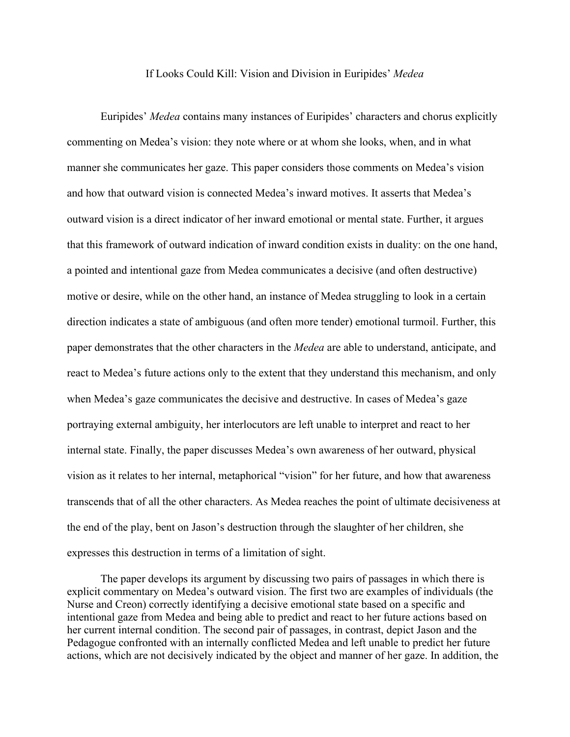## If Looks Could Kill: Vision and Division in Euripides' *Medea*

Euripides' *Medea* contains many instances of Euripides' characters and chorus explicitly commenting on Medea's vision: they note where or at whom she looks, when, and in what manner she communicates her gaze. This paper considers those comments on Medea's vision and how that outward vision is connected Medea's inward motives. It asserts that Medea's outward vision is a direct indicator of her inward emotional or mental state. Further, it argues that this framework of outward indication of inward condition exists in duality: on the one hand, a pointed and intentional gaze from Medea communicates a decisive (and often destructive) motive or desire, while on the other hand, an instance of Medea struggling to look in a certain direction indicates a state of ambiguous (and often more tender) emotional turmoil. Further, this paper demonstrates that the other characters in the *Medea* are able to understand, anticipate, and react to Medea's future actions only to the extent that they understand this mechanism, and only when Medea's gaze communicates the decisive and destructive. In cases of Medea's gaze portraying external ambiguity, her interlocutors are left unable to interpret and react to her internal state. Finally, the paper discusses Medea's own awareness of her outward, physical vision as it relates to her internal, metaphorical "vision" for her future, and how that awareness transcends that of all the other characters. As Medea reaches the point of ultimate decisiveness at the end of the play, bent on Jason's destruction through the slaughter of her children, she expresses this destruction in terms of a limitation of sight.

The paper develops its argument by discussing two pairs of passages in which there is explicit commentary on Medea's outward vision. The first two are examples of individuals (the Nurse and Creon) correctly identifying a decisive emotional state based on a specific and intentional gaze from Medea and being able to predict and react to her future actions based on her current internal condition. The second pair of passages, in contrast, depict Jason and the Pedagogue confronted with an internally conflicted Medea and left unable to predict her future actions, which are not decisively indicated by the object and manner of her gaze. In addition, the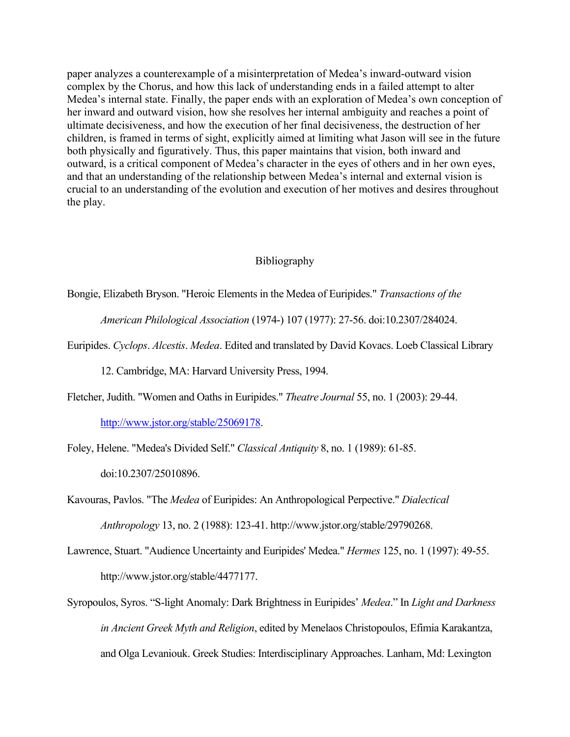paper analyzes a counterexample of a misinterpretation of Medea's inward-outward vision complex by the Chorus, and how this lack of understanding ends in a failed attempt to alter Medea's internal state. Finally, the paper ends with an exploration of Medea's own conception of her inward and outward vision, how she resolves her internal ambiguity and reaches a point of ultimate decisiveness, and how the execution of her final decisiveness, the destruction of her children, is framed in terms of sight, explicitly aimed at limiting what Jason will see in the future both physically and figuratively. Thus, this paper maintains that vision, both inward and outward, is a critical component of Medea's character in the eyes of others and in her own eyes, and that an understanding of the relationship between Medea's internal and external vision is crucial to an understanding of the evolution and execution of her motives and desires throughout the play.

## Bibliography

Bongie, Elizabeth Bryson. "Heroic Elements in the Medea of Euripides." *Transactions of the* 

*American Philological Association* (1974-) 107 (1977): 27-56. doi:10.2307/284024.

Euripides. *Cyclops*. *Alcestis*. *Medea*. Edited and translated by David Kovacs. Loeb Classical Library

12. Cambridge, MA: Harvard University Press, 1994.

Fletcher, Judith. "Women and Oaths in Euripides." *Theatre Journal* 55, no. 1 (2003): 29-44.

[http://www.jstor.org/stable/25069178.](http://www.jstor.org/stable/25069178)

Foley, Helene. "Medea's Divided Self." *Classical Antiquity* 8, no. 1 (1989): 61-85.

doi:10.2307/25010896.

Kavouras, Pavlos. "The *Medea* of Euripides: An Anthropological Perpective." *Dialectical Anthropology* 13, no. 2 (1988): 123-41. http://www.jstor.org/stable/29790268.

- Lawrence, Stuart. "Audience Uncertainty and Euripides' Medea." *Hermes* 125, no. 1 (1997): 49-55. http://www.jstor.org/stable/4477177.
- Syropoulos, Syros. "S-light Anomaly: Dark Brightness in Euripides' *Medea*." In *Light and Darkness in Ancient Greek Myth and Religion*, edited by Menelaos Christopoulos, Efimia Karakantza, and Olga Levaniouk. Greek Studies: Interdisciplinary Approaches. Lanham, Md: Lexington